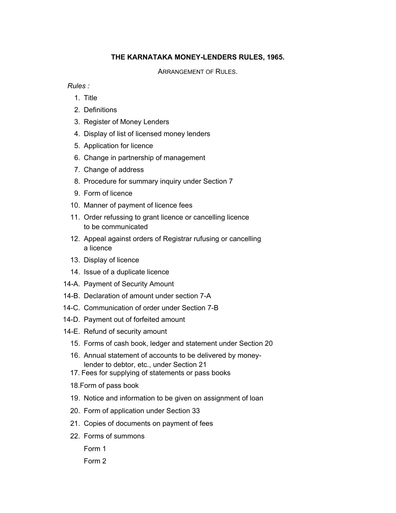## **THE KARNATAKA MONEY-LENDERS RULES, 1965.**

ARRANGEMENT OF RULES.

*Rules :*

- 1. Title
- 2. Definitions
- 3. Register of Money Lenders
- 4. Display of list of licensed money lenders
- 5. Application for licence
- 6. Change in partnership of management
- 7. Change of address
- 8. Procedure for summary inquiry under Section 7
- 9. Form of licence
- 10. Manner of payment of licence fees
- 11. Order refussing to grant licence or cancelling licence to be communicated
- 12. Appeal against orders of Registrar rufusing or cancelling a licence
- 13. Display of licence
- 14. Issue of a duplicate licence
- 14-A. Payment of Security Amount
- 14-B. Declaration of amount under section 7-A
- 14-C. Communication of order under Section 7-B
- 14-D. Payment out of forfeited amount
- 14-E. Refund of security amount
	- 15. Forms of cash book, ledger and statement under Section 20
	- 16. Annual statement of accounts to be delivered by money lender to debtor, etc., under Section 21
	- 17. Fees for supplying of statements or pass books
	- 18.Form of pass book
	- 19. Notice and information to be given on assignment of loan
	- 20. Form of application under Section 33
	- 21. Copies of documents on payment of fees
	- 22. Forms of summons

Form 1

Form 2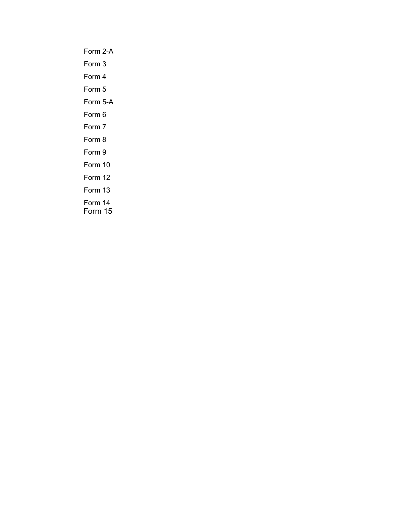Form 2-A Form 3 Form 4 Form 5 Form 5-A Form 6 Form 7 Form 8 Form 9 Form 10 Form 12 Form 13 Form 14 Form 15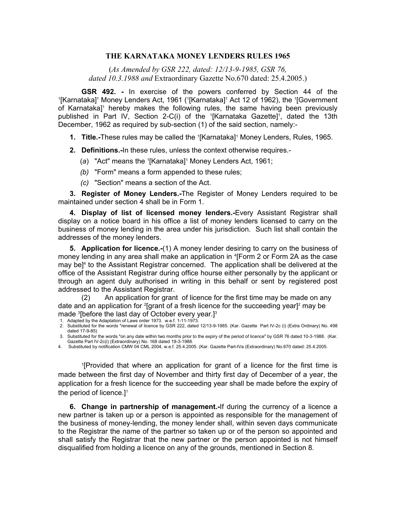#### **THE KARNATAKA MONEY LENDERS RULES 1965**

(*As Amended by GSR 222, dated: 12/13-9-1985, GSR 76, dated 10.3.1988 and* Extraordinary Gazette No.670 dated: 25.4.2005.)

**GSR 492.** - In exercise of the powers conferred by Section 44 of the [Karnataka]<sup>1</sup> Money Lenders Act, 1961 (<sup>1</sup>[Karnataka]<sup>1</sup> Act 12 of 1962), the <sup>1</sup>[Government of Karnataka]<sup>1</sup> hereby makes the following rules, the same having been previously published in Part IV, Section 2-C(i) of the <sup>1</sup>[Karnataka Gazette]<sup>1</sup>, dated the 13th December, 1962 as required by sub-section (1) of the said section, namely:-

- **1. Title.-These rules may be called the '[Karnataka]' Money Lenders, Rules, 1965.** 
	- **2. Definitions.-**In these rules, unless the context otherwise requires.-
- (a) "Act" means the '[Karnataka]<sup>1</sup> Money Lenders Act, 1961;
	- *(b)* "Form" means a form appended to these rules;
	- *(c)* "Section" means a section of the Act.

 **3. Register of Money Lenders.-**The Register of Money Lenders required to be maintained under section 4 shall be in Form 1.

 **4. Display of list of licensed money lenders.-**Every Assistant Registrar shall display on a notice board in his office a list of money lenders licensed to carry on the business of money lending in the area under his jurisdiction. Such list shall contain the addresses of the money lenders.

 **5. Application for licence.-**(1) A money lender desiring to carry on the business of money lending in any area shall make an application in <sup>4</sup>[Form 2 or Form 2A as the case may be]<sup>4</sup> to the Assistant Registrar concerned. The application shall be delivered at the office of the Assistant Registrar during office hourse either personally by the applicant or through an agent duly authorised in writing in this behalf or sent by registered post addressed to the Assistant Registrar.

 (2) An application for grant of licence for the first time may be made on any date and an application for <sup>2</sup>[grant of a fresh licence for the succeeding year]<sup>2</sup> may be made 3 [before the last day of October every year.]3

1. Adapted by the Adaptation of Laws order 1973. w.e.f. 1-11-1973.

 2. Substituted for the words "renewal of licence by GSR 222, dated 12/13-9-1985. (Kar. Gazette Part IV-2c (i) (Extra Ordinary) No. 498 dated 17-9-85)

 3. Substituted for the words "on any date within two months prior to the expiry of the period of licence" by GSR 76 dated 10-3-1988. (Kar. Gazette Part IV-2c(i) (Extraordinary) No. 168 dated 19-3-1988.

4. Substituted by notification CMW 04 CML 2004, w.e.f. 25.4.2005. (Kar. Gazette Part-IVa (Extraordinary) No.670 dated: 25.4.2005.

 1[Provided that where an application for grant of a licence for the first time is made between the first day of November and thirty first day of December of a year, the application for a fresh licence for the succeeding year shall be made before the expiry of the period of licence. $]$ <sup>1</sup>

 **6. Change in partnership of management.-**If during the currency of a licence a new partner is taken up or a person is appointed as responsible for the management of the business of money-lending, the money lender shall, within seven days communicate to the Registrar the name of the partner so taken up or of the person so appointed and shall satisfy the Registrar that the new partner or the person appointed is not himself disqualified from holding a licence on any of the grounds, mentioned in Section 8.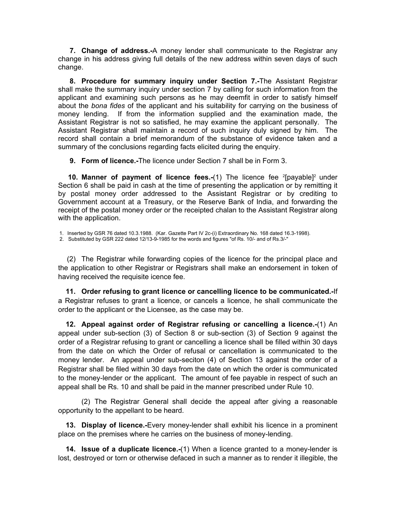**7. Change of address.-**A money lender shall communicate to the Registrar any change in his address giving full details of the new address within seven days of such change.

**8. Procedure for summary inquiry under Section 7.-**The Assistant Registrar shall make the summary inquiry under section 7 by calling for such information from the applicant and examining such persons as he may deemfit in order to satisfy himself about the *bona fides* of the applicant and his suitability for carrying on the business of money lending. If from the information supplied and the examination made, the Assistant Registrar is not so satisfied, he may examine the applicant personally. The Assistant Registrar shall maintain a record of such inquiry duly signed by him. The record shall contain a brief memorandum of the substance of evidence taken and a summary of the conclusions regarding facts elicited during the enquiry.

**9. Form of licence.-**The licence under Section 7 shall be in Form 3.

**10. Manner of payment of licence fees.-(1)** The licence fee <sup>2</sup>[payable]<sup>2</sup> under Section 6 shall be paid in cash at the time of presenting the application or by remitting it by postal money order addressed to the Assistant Registrar or by crediting to Government account at a Treasury, or the Reserve Bank of India, and forwarding the receipt of the postal money order or the receipted chalan to the Assistant Registrar along with the application.

1. Inserted by GSR 76 dated 10.3.1988. (Kar. Gazette Part IV 2c-(i) Extraordinary No. 168 dated 16.3-1998).

2. Substituted by GSR 222 dated 12/13-9-1985 for the words and figures "of Rs. 10/- and of Rs.3/-"

 (2) The Registrar while forwarding copies of the licence for the principal place and the application to other Registrar or Registrars shall make an endorsement in token of having received the requisite icence fee.

**11. Order refusing to grant licence or cancelling licence to be communicated.-**If a Registrar refuses to grant a licence, or cancels a licence, he shall communicate the order to the applicant or the Licensee, as the case may be.

**12. Appeal against order of Registrar refusing or cancelling a licence.-**(1) An appeal under sub-section (3) of Section 8 or sub-section (3) of Section 9 against the order of a Registrar refusing to grant or cancelling a licence shall be filled within 30 days from the date on which the Order of refusal or cancellation is communicated to the money lender. An appeal under sub-seciton (4) of Section 13 against the order of a Registrar shall be filed within 30 days from the date on which the order is communicated to the money-lender or the applicant. The amount of fee payable in respect of such an appeal shall be Rs. 10 and shall be paid in the manner prescribed under Rule 10.

 (2) The Registrar General shall decide the appeal after giving a reasonable opportunity to the appellant to be heard.

**13. Display of licence.-**Every money-lender shall exhibit his licence in a prominent place on the premises where he carries on the business of money-lending.

**14. Issue of a duplicate licence.-**(1) When a licence granted to a money-lender is lost, destroyed or torn or otherwise defaced in such a manner as to render it illegible, the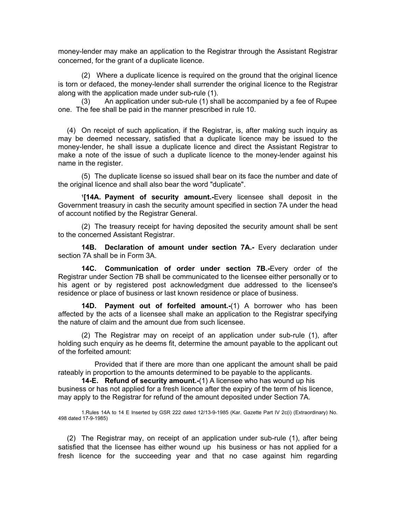money-lender may make an application to the Registrar through the Assistant Registrar concerned, for the grant of a duplicate licence.

 (2) Where a duplicate licence is required on the ground that the original licence is torn or defaced, the money-lender shall surrender the original licence to the Registrar along with the application made under sub-rule (1).

 (3) An application under sub-rule (1) shall be accompanied by a fee of Rupee one. The fee shall be paid in the manner prescribed in rule 10.

 (4) On receipt of such application, if the Registrar, is, after making such inquiry as may be deemed necessary, satisfied that a duplicate licence may be issued to the money-lender, he shall issue a duplicate licence and direct the Assistant Registrar to make a note of the issue of such a duplicate licence to the money-lender against his name in the register.

 (5) The duplicate license so issued shall bear on its face the number and date of the original licence and shall also bear the word "duplicate".

 **<sup>1</sup> [14A. Payment of security amount.-**Every licensee shall deposit in the Government treasury in cash the security amount specified in section 7A under the head of account notified by the Registrar General.

 (2) The treasury receipt for having deposited the security amount shall be sent to the concerned Assistant Registrar.

 **14B. Declaration of amount under section 7A.-** Every declaration under section 7A shall be in Form 3A.

 **14C. Communication of order under section 7B.-**Every order of the Registrar under Section 7B shall be communicated to the licensee either personally or to his agent or by registered post acknowledgment due addressed to the licensee's residence or place of business or last known residence or place of business.

 **14D. Payment out of forfeited amount.-**(1) A borrower who has been affected by the acts of a licensee shall make an application to the Registrar specifying the nature of claim and the amount due from such licensee.

 (2) The Registrar may on receipt of an application under sub-rule (1), after holding such enquiry as he deems fit, determine the amount payable to the applicant out of the forfeited amount:

 Provided that if there are more than one applicant the amount shall be paid rateably in proportion to the amounts determined to be payable to the applicants.

**14-E. Refund of security amount.-**(1) A licensee who has wound up his business or has not applied for a fresh licence after the expiry of the term of his licence, may apply to the Registrar for refund of the amount deposited under Section 7A.

1.Rules 14A to 14 E Inserted by GSR 222 dated 12/13-9-1985 (Kar. Gazette Part IV 2c(i) (Extraordinary) No. 498 dated 17-9-1985)

 (2) The Registrar may, on receipt of an application under sub-rule (1), after being satisfied that the licensee has either wound up his business or has not applied for a fresh licence for the succeeding year and that no case against him regarding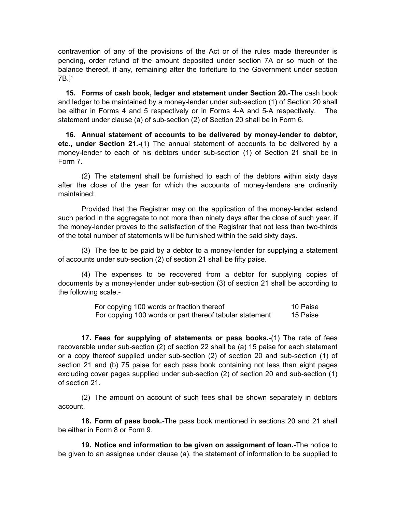contravention of any of the provisions of the Act or of the rules made thereunder is pending, order refund of the amount deposited under section 7A or so much of the balance thereof, if any, remaining after the forfeiture to the Government under section 7B.]1

**15. Forms of cash book, ledger and statement under Section 20.-**The cash book and ledger to be maintained by a money-lender under sub-section (1) of Section 20 shall be either in Forms 4 and 5 respectively or in Forms 4-A and 5-A respectively. The statement under clause (a) of sub-section (2) of Section 20 shall be in Form 6.

**16. Annual statement of accounts to be delivered by money-lender to debtor, etc., under Section 21.-**(1) The annual statement of accounts to be delivered by a money-lender to each of his debtors under sub-section (1) of Section 21 shall be in Form 7.

 (2) The statement shall be furnished to each of the debtors within sixty days after the close of the year for which the accounts of money-lenders are ordinarily maintained:

 Provided that the Registrar may on the application of the money-lender extend such period in the aggregate to not more than ninety days after the close of such year, if the money-lender proves to the satisfaction of the Registrar that not less than two-thirds of the total number of statements will be furnished within the said sixty days.

 (3) The fee to be paid by a debtor to a money-lender for supplying a statement of accounts under sub-section (2) of section 21 shall be fifty paise.

 (4) The expenses to be recovered from a debtor for supplying copies of documents by a money-lender under sub-section (3) of section 21 shall be according to the following scale.-

> For copying 100 words or fraction thereof 10 Paise For copying 100 words or part thereof tabular statement 15 Paise

 **17. Fees for supplying of statements or pass books.-**(1) The rate of fees recoverable under sub-section (2) of section 22 shall be (a) 15 paise for each statement or a copy thereof supplied under sub-section (2) of section 20 and sub-section (1) of section 21 and (b) 75 paise for each pass book containing not less than eight pages excluding cover pages supplied under sub-section (2) of section 20 and sub-section (1) of section 21.

 (2) The amount on account of such fees shall be shown separately in debtors account.

 **18. Form of pass book.-**The pass book mentioned in sections 20 and 21 shall be either in Form 8 or Form 9.

 **19. Notice and information to be given on assignment of loan.-**The notice to be given to an assignee under clause (a), the statement of information to be supplied to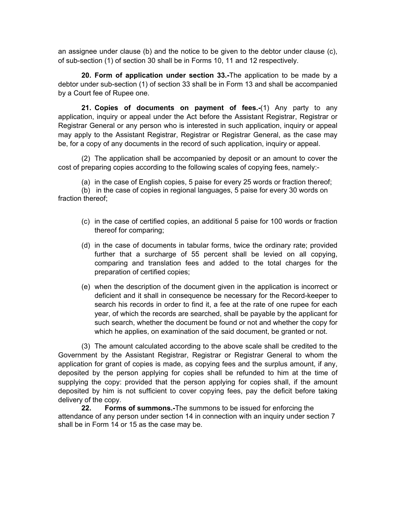an assignee under clause (b) and the notice to be given to the debtor under clause (c), of sub-section (1) of section 30 shall be in Forms 10, 11 and 12 respectively.

 **20. Form of application under section 33.-**The application to be made by a debtor under sub-section (1) of section 33 shall be in Form 13 and shall be accompanied by a Court fee of Rupee one.

 **21. Copies of documents on payment of fees.-**(1) Any party to any application, inquiry or appeal under the Act before the Assistant Registrar, Registrar or Registrar General or any person who is interested in such application, inquiry or appeal may apply to the Assistant Registrar, Registrar or Registrar General, as the case may be, for a copy of any documents in the record of such application, inquiry or appeal.

 (2) The application shall be accompanied by deposit or an amount to cover the cost of preparing copies according to the following scales of copying fees, namely:-

(a) in the case of English copies, 5 paise for every 25 words or fraction thereof;

 (b) in the case of copies in regional languages, 5 paise for every 30 words on fraction thereof;

- (c) in the case of certified copies, an additional 5 paise for 100 words or fraction thereof for comparing;
- (d) in the case of documents in tabular forms, twice the ordinary rate; provided further that a surcharge of 55 percent shall be levied on all copying, comparing and translation fees and added to the total charges for the preparation of certified copies;
- (e) when the description of the document given in the application is incorrect or deficient and it shall in consequence be necessary for the Record-keeper to search his records in order to find it, a fee at the rate of one rupee for each year, of which the records are searched, shall be payable by the applicant for such search, whether the document be found or not and whether the copy for which he applies, on examination of the said document, be granted or not.

 (3) The amount calculated according to the above scale shall be credited to the Government by the Assistant Registrar, Registrar or Registrar General to whom the application for grant of copies is made, as copying fees and the surplus amount, if any, deposited by the person applying for copies shall be refunded to him at the time of supplying the copy: provided that the person applying for copies shall, if the amount deposited by him is not sufficient to cover copying fees, pay the deficit before taking delivery of the copy.

**22. Forms of summons.-**The summons to be issued for enforcing the attendance of any person under section 14 in connection with an inquiry under section 7 shall be in Form 14 or 15 as the case may be.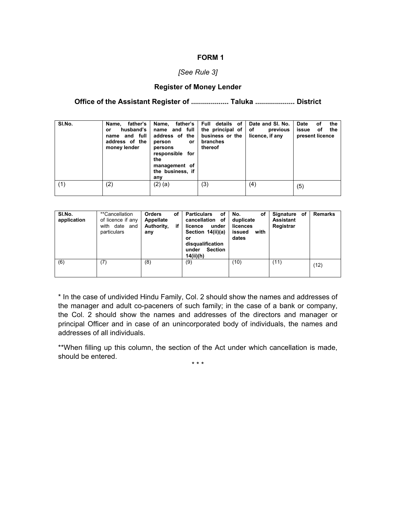#### *[See Rule 3]*

#### **Register of Money Lender**

**Office of the Assistant Register of ................... Taluka .................... District** 

| SI.No. | father's<br>Name,<br>husband's<br>or<br>name and full<br>address of the<br>money lender | father's  <br>Name.<br>name and full<br>address of the<br>person<br>or.<br>persons<br>responsible for<br>the<br>management of<br>the business, if<br>any | Full details of<br>the principal of<br>business or the<br>branches<br>thereof | Date and SI, No.<br>of<br>previous<br>licence, if any | the<br><b>Date</b><br>ΟĪ<br>issue<br>the<br>οf<br>present licence |
|--------|-----------------------------------------------------------------------------------------|----------------------------------------------------------------------------------------------------------------------------------------------------------|-------------------------------------------------------------------------------|-------------------------------------------------------|-------------------------------------------------------------------|
| (1)    | (2)                                                                                     | $(2)$ (a)                                                                                                                                                | (3)                                                                           | (4)                                                   | (5)                                                               |

| SI.No.<br>application | **Cancellation<br>of licence if any<br>with date and<br>particulars | <b>Orders</b><br>οf<br>Appellate<br>if<br>Authority,<br>any | <b>Particulars</b><br>οf<br>cancellation of<br>under<br>licence<br>Section 14(ii)(a)<br>or<br>disqualification<br><b>Section</b><br>under<br>14(ii)(h) | No.<br>οf<br>duplicate<br>licences<br>with<br>issued<br>dates | Signature of<br>Assistant<br>Registrar | <b>Remarks</b> |
|-----------------------|---------------------------------------------------------------------|-------------------------------------------------------------|--------------------------------------------------------------------------------------------------------------------------------------------------------|---------------------------------------------------------------|----------------------------------------|----------------|
| (6)                   | (7)                                                                 | (8)                                                         | (9)                                                                                                                                                    | (10)                                                          | (11)                                   | (12)           |

\* In the case of undivided Hindu Family, Col. 2 should show the names and addresses of the manager and adult co-paceners of such family; in the case of a bank or company, the Col. 2 should show the names and addresses of the directors and manager or principal Officer and in case of an unincorporated body of individuals, the names and addresses of all individuals.

\*\*When filling up this column, the section of the Act under which cancellation is made, should be entered.

\* \* \*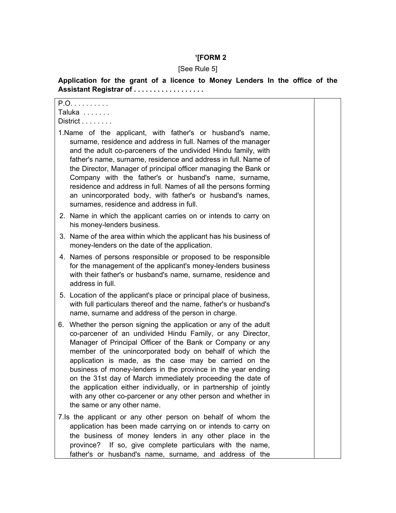#### **1 [FORM 2**

# [See Rule 5]

**Application for the grant of a licence to Money Lenders In the office of the Assistant Registrar of . . . . . . . . . . . . . . . . . .**

| P.O.<br>Taluka                                                                                                                                                                                                                                                                                                                                                                                                                                                                                                                                                                                                          |  |
|-------------------------------------------------------------------------------------------------------------------------------------------------------------------------------------------------------------------------------------------------------------------------------------------------------------------------------------------------------------------------------------------------------------------------------------------------------------------------------------------------------------------------------------------------------------------------------------------------------------------------|--|
| Distribt                                                                                                                                                                                                                                                                                                                                                                                                                                                                                                                                                                                                                |  |
| 1. Name of the applicant, with father's or husband's name,<br>surname, residence and address in full. Names of the manager<br>and the adult co-parceners of the undivided Hindu family, with<br>father's name, surname, residence and address in full. Name of<br>the Director, Manager of principal officer managing the Bank or<br>Company with the father's or husband's name, surname,<br>residence and address in full. Names of all the persons forming<br>an unincorporated body, with father's or husband's names,<br>surnames, residence and address in full.                                                  |  |
| 2. Name in which the applicant carries on or intends to carry on<br>his money-lenders business.                                                                                                                                                                                                                                                                                                                                                                                                                                                                                                                         |  |
| 3. Name of the area within which the applicant has his business of<br>money-lenders on the date of the application.                                                                                                                                                                                                                                                                                                                                                                                                                                                                                                     |  |
| 4. Names of persons responsible or proposed to be responsible<br>for the management of the applicant's money-lenders business<br>with their father's or husband's name, surname, residence and<br>address in full.                                                                                                                                                                                                                                                                                                                                                                                                      |  |
| 5. Location of the applicant's place or principal place of business,<br>with full particulars thereof and the name, father's or husband's<br>name, surname and address of the person in charge.                                                                                                                                                                                                                                                                                                                                                                                                                         |  |
| 6. Whether the person signing the application or any of the adult<br>co-parcener of an undivided Hindu Family, or any Director,<br>Manager of Principal Officer of the Bank or Company or any<br>member of the unincorporated body on behalf of which the<br>application is made, as the case may be carried on the<br>business of money-lenders in the province in the year ending<br>on the 31st day of March immediately proceeding the date of<br>the application either individually, or in partnership of jointly<br>with any other co-parcener or any other person and whether in<br>the same or any other name. |  |
| 7.Is the applicant or any other person on behalf of whom the                                                                                                                                                                                                                                                                                                                                                                                                                                                                                                                                                            |  |
| application has been made carrying on or intends to carry on<br>the business of money lenders in any other place in the<br>province? If so, give complete particulars with the name,                                                                                                                                                                                                                                                                                                                                                                                                                                    |  |
| father's or husband's name, surname, and address of the                                                                                                                                                                                                                                                                                                                                                                                                                                                                                                                                                                 |  |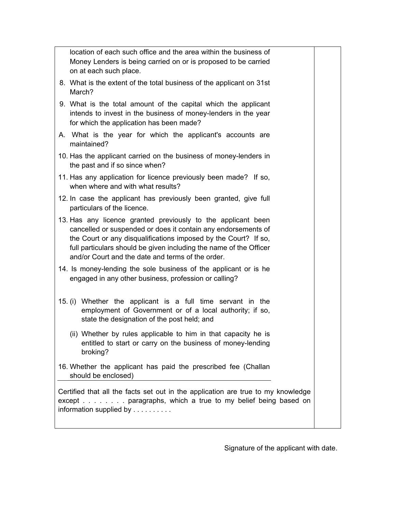location of each such office and the area within the business of Money Lenders is being carried on or is proposed to be carried on at each such place.

- 8. What is the extent of the total business of the applicant on 31st March?
- 9. What is the total amount of the capital which the applicant intends to invest in the business of money-lenders in the year for which the application has been made?
- A. What is the year for which the applicant's accounts are maintained?
- 10. Has the applicant carried on the business of money-lenders in the past and if so since when?
- 11. Has any application for licence previously been made? If so, when where and with what results?
- 12. In case the applicant has previously been granted, give full particulars of the licence.
- 13. Has any licence granted previously to the applicant been cancelled or suspended or does it contain any endorsements of the Court or any disqualifications imposed by the Court? If so, full particulars should be given including the name of the Officer and/or Court and the date and terms of the order.
- 14. Is money-lending the sole business of the applicant or is he engaged in any other business, profession or calling?
- 15. (i) Whether the applicant is a full time servant in the employment of Government or of a local authority; if so, state the designation of the post held; and
	- (ii) Whether by rules applicable to him in that capacity he is entitled to start or carry on the business of money-lending broking?
- 16. Whether the applicant has paid the prescribed fee (Challan should be enclosed)

Certified that all the facts set out in the application are true to my knowledge except . . . . . . . . paragraphs, which a true to my belief being based on information supplied by . . . . . . . . . .

Signature of the applicant with date.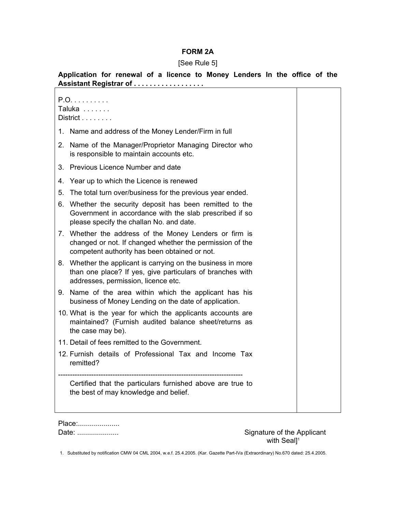### **FORM 2A**

#### [See Rule 5]

**Application for renewal of a licence to Money Lenders In the office of the Assistant Registrar of . . . . . . . . . . . . . . . . . .**

P.O. . . . . . . . . . Taluka . . . . . . . District . . . . . . . . 1. Name and address of the Money Lender/Firm in full 2. Name of the Manager/Proprietor Managing Director who is responsible to maintain accounts etc. 3. Previous Licence Number and date 4. Year up to which the Licence is renewed 5. The total turn over/business for the previous year ended. 6. Whether the security deposit has been remitted to the Government in accordance with the slab prescribed if so please specify the challan No. and date. 7. Whether the address of the Money Lenders or firm is changed or not. If changed whether the permission of the competent authority has been obtained or not. 8. Whether the applicant is carrying on the business in more than one place? If yes, give particulars of branches with addresses, permission, licence etc. 9. Name of the area within which the applicant has his business of Money Lending on the date of application. 10. What is the year for which the applicants accounts are maintained? (Furnish audited balance sheet/returns as the case may be). 11. Detail of fees remitted to the Government. 12. Furnish details of Professional Tax and Income Tax remitted? ------------------------------------------------------------------------------ Certified that the particulars furnished above are true to the best of may knowledge and belief.

| Place: |  |
|--------|--|
| Date:  |  |

Signature of the Applicant with Seal]<sup>1</sup>

1. Substituted by notification CMW 04 CML 2004, w.e.f. 25.4.2005. (Kar. Gazette Part-IVa (Extraordinary) No.670 dated: 25.4.2005.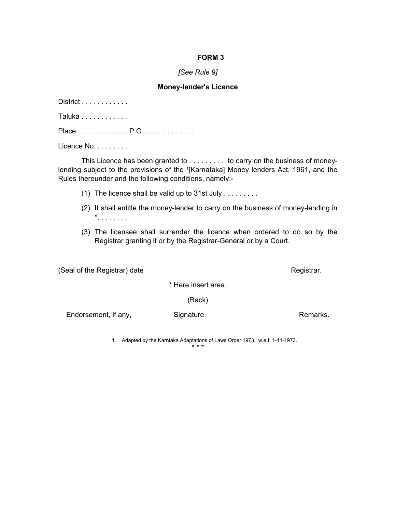#### *[See Rule 9]*

#### **Money-lender's Licence**

District . . . . . . . . . . . .

Taluka . . . . . . . . . . . .

Place . . . . . . . . . . . . . P.O. . . . . . . . . . . . .

Licence No. . . . . . . . .

 This Licence has been granted to . . . . . . . . . to carry on the business of moneylending subject to the provisions of the <sup>1</sup>[Karnataka] Money lenders Act, 1961, and the Rules thereunder and the following conditions, namely:-

- (1) The licence shall be valid up to 31st July  $\dots \dots$
- (2) It shall entitle the money-lender to carry on the business of money-lending in \*. . . . . . . .
- (3) The licensee shall surrender the licence when ordered to do so by the Registrar granting it or by the Registrar-General or by a Court.

(Seal of the Registrar) date **Registrar**.

\* Here insert area.

(Back)

Endorsement, if any, Signature Remarks.

1. Adapted by the Karntaka Adaptations of Laws Order 1973. w.e.f. 1-11-1973.

\* \* \*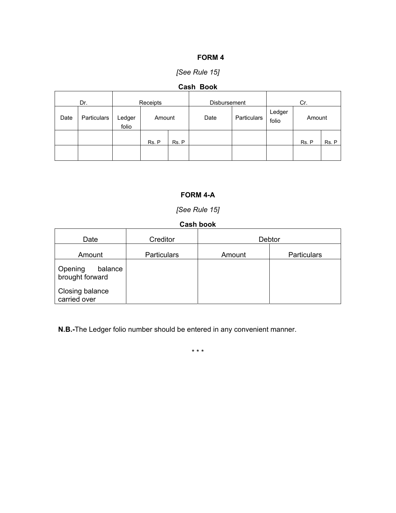## *[See Rule 15]*

## **Cash Book**

| Receipts<br>Dr. |             | <b>Disbursement</b> | Cr.    |       |      |             |                 |        |       |
|-----------------|-------------|---------------------|--------|-------|------|-------------|-----------------|--------|-------|
| Date            | Particulars | Ledger<br>folio     | Amount |       | Date | Particulars | Ledger<br>folio | Amount |       |
|                 |             |                     | Rs. P  | Rs. P |      |             |                 | Rs. P  | Rs. P |
|                 |             |                     |        |       |      |             |                 |        |       |

## **FORM 4-A**

## *[See Rule 15]*

## **Cash book**

| Date                                  | Creditor           |        | Debtor             |
|---------------------------------------|--------------------|--------|--------------------|
| Amount                                | <b>Particulars</b> | Amount | <b>Particulars</b> |
| Opening<br>balance<br>brought forward |                    |        |                    |
| Closing balance<br>carried over       |                    |        |                    |

**N.B.-**The Ledger folio number should be entered in any convenient manner.

\* \* \*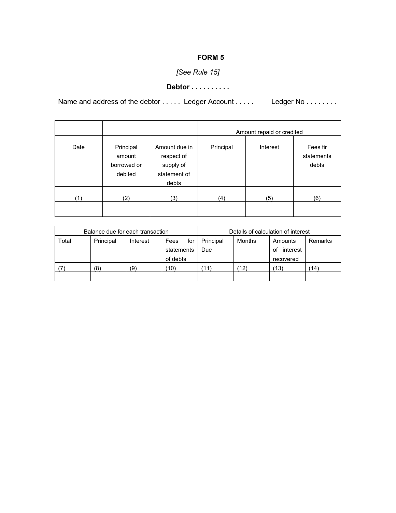# *[See Rule 15]*

## **Debtor . . . . . . . . . .**

Name and address of the debtor . . . . . Ledger Account . . . . . . Ledger No . . . . . . . .

|      |                                               |                                                                   |           | Amount repaid or credited |                                 |
|------|-----------------------------------------------|-------------------------------------------------------------------|-----------|---------------------------|---------------------------------|
| Date | Principal<br>amount<br>borrowed or<br>debited | Amount due in<br>respect of<br>supply of<br>statement of<br>debts | Principal | Interest                  | Fees fir<br>statements<br>debts |
| (1)  | (2)                                           | (3)                                                               | (4)       | (5)                       | (6)                             |

| Balance due for each transaction |           |          |             | Details of calculation of interest |        |                |                |
|----------------------------------|-----------|----------|-------------|------------------------------------|--------|----------------|----------------|
| Total                            | Principal | Interest | Fees<br>for | Principal                          | Months | Amounts        | <b>Remarks</b> |
|                                  |           |          | statements  | Due                                |        | interest<br>οf |                |
|                                  |           |          | of debts    |                                    |        | recovered      |                |
|                                  | (8)       | (9)      | '10)        | 11)                                | (12)   | (13)           | (14)           |
|                                  |           |          |             |                                    |        |                |                |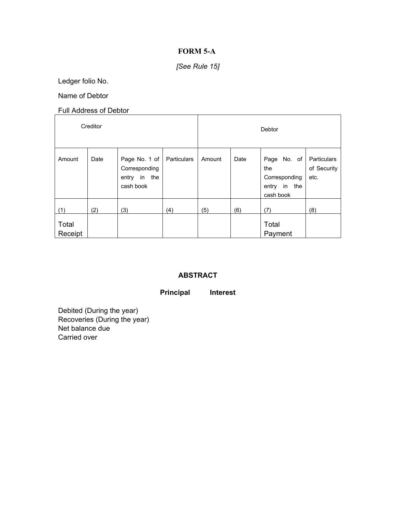## **FORM 5-A**

## *[See Rule 15]*

Ledger folio No.

Name of Debtor

Full Address of Debtor

| Creditor         |      |                                                                |             | Debtor |      |                                                                     |                                    |  |
|------------------|------|----------------------------------------------------------------|-------------|--------|------|---------------------------------------------------------------------|------------------------------------|--|
| Amount           | Date | Page No. 1 of<br>Corresponding<br>the<br>entry in<br>cash book | Particulars | Amount | Date | Page No. of<br>the<br>Corresponding<br>the<br>entry in<br>cash book | Particulars<br>of Security<br>etc. |  |
| (1)              | (2)  | (3)                                                            | (4)         | (5)    | (6)  | (7)                                                                 | (8)                                |  |
| Total<br>Receipt |      |                                                                |             |        |      | Total<br>Payment                                                    |                                    |  |

## **ABSTRACT**

## **Principal Interest**

Debited (During the year) Recoveries (During the year) Net balance due Carried over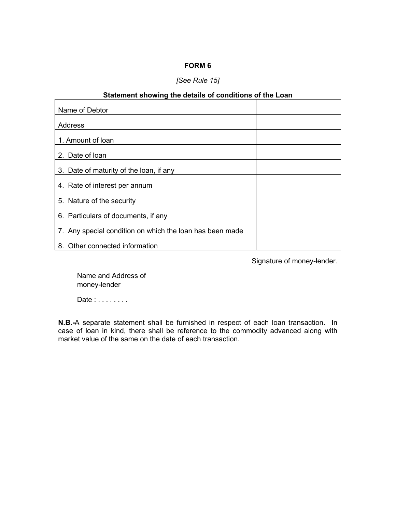## *[See Rule 15]*

## **Statement showing the details of conditions of the Loan**

| Name of Debtor                                           |  |
|----------------------------------------------------------|--|
| Address                                                  |  |
| 1. Amount of loan                                        |  |
| 2. Date of loan                                          |  |
| 3. Date of maturity of the loan, if any                  |  |
| 4. Rate of interest per annum                            |  |
| 5. Nature of the security                                |  |
| 6. Particulars of documents, if any                      |  |
| 7. Any special condition on which the loan has been made |  |
| 8. Other connected information                           |  |

Signature of money-lender.

 Name and Address of money-lender

Date : . . . . . . . .

**N.B.-**A separate statement shall be furnished in respect of each loan transaction. In case of loan in kind, there shall be reference to the commodity advanced along with market value of the same on the date of each transaction.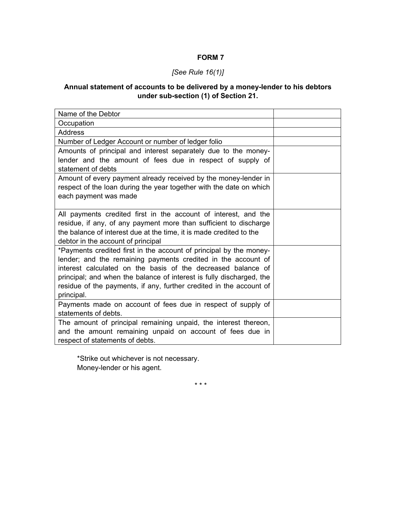## *[See Rule 16(1)]*

## **Annual statement of accounts to be delivered by a money-lender to his debtors under sub-section (1) of Section 21.**

| Name of the Debtor                                                   |  |
|----------------------------------------------------------------------|--|
| Occupation                                                           |  |
| Address                                                              |  |
| Number of Ledger Account or number of ledger folio                   |  |
| Amounts of principal and interest separately due to the money-       |  |
| lender and the amount of fees due in respect of supply of            |  |
| statement of debts                                                   |  |
| Amount of every payment already received by the money-lender in      |  |
| respect of the loan during the year together with the date on which  |  |
| each payment was made                                                |  |
|                                                                      |  |
| All payments credited first in the account of interest, and the      |  |
| residue, if any, of any payment more than sufficient to discharge    |  |
| the balance of interest due at the time, it is made credited to the  |  |
| debtor in the account of principal                                   |  |
| *Payments credited first in the account of principal by the money-   |  |
| lender; and the remaining payments credited in the account of        |  |
| interest calculated on the basis of the decreased balance of         |  |
| principal; and when the balance of interest is fully discharged, the |  |
| residue of the payments, if any, further credited in the account of  |  |
| principal.                                                           |  |
| Payments made on account of fees due in respect of supply of         |  |
| statements of debts.                                                 |  |
| The amount of principal remaining unpaid, the interest thereon,      |  |
| and the amount remaining unpaid on account of fees due in            |  |
| respect of statements of debts.                                      |  |

 \*Strike out whichever is not necessary. Money-lender or his agent.

\* \* \*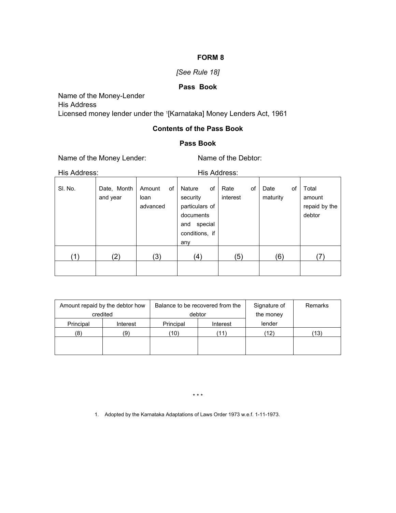## *[See Rule 18]*

## **Pass Book**

Name of the Money-Lender His Address Licensed money lender under the <sup>1</sup>[Karnataka] Money Lenders Act, 1961

## **Contents of the Pass Book**

## **Pass Book**

Name of the Money Lender: Name of the Debtor:

His Address: His Address:

| 1110 / 1001 000. |                         |                            | 1110 / 1001 000. |                                                                                              |    |                  |    |                  |    |                                            |
|------------------|-------------------------|----------------------------|------------------|----------------------------------------------------------------------------------------------|----|------------------|----|------------------|----|--------------------------------------------|
| SI. No.          | Date, Month<br>and year | Amount<br>loan<br>advanced | of               | Nature<br>security<br>particulars of<br>documents<br>special<br>and<br>conditions, if<br>any | of | Rate<br>interest | οf | Date<br>maturity | οf | Total<br>amount<br>repaid by the<br>debtor |
| (1)              | $\left( 2\right)$       | (3)                        |                  | (4)                                                                                          |    | (5)              |    | (6)              |    | (7)                                        |

| Amount repaid by the debtor how<br>credited |          | Balance to be recovered from the<br>debtor |          | Signature of<br>the money | Remarks         |
|---------------------------------------------|----------|--------------------------------------------|----------|---------------------------|-----------------|
|                                             |          |                                            |          | lender                    |                 |
| Principal                                   | Interest | Principal                                  | Interest |                           |                 |
| (8)                                         | (9)      | (10)                                       | 11)      | (12)                      | $^{\prime}$ 13) |
|                                             |          |                                            |          |                           |                 |
|                                             |          |                                            |          |                           |                 |

\* \* \*

1. Adopted by the Karnataka Adaptations of Laws Order 1973 w.e.f. 1-11-1973.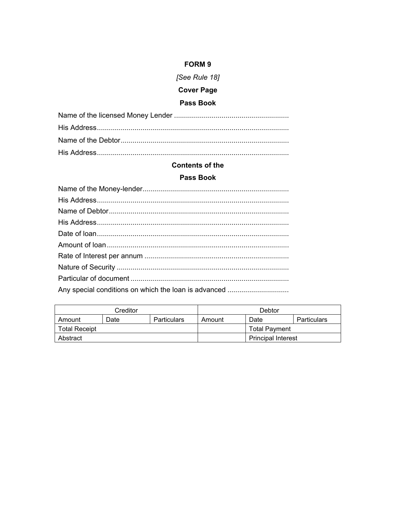## [See Rule 18]

# **Cover Page**

# Pass Book

### **Contents of the**

### Pass Book

| Creditor             |      |             | Debtor |                           |             |
|----------------------|------|-------------|--------|---------------------------|-------------|
| Amount               | Date | Particulars | Amount | Date                      | Particulars |
| <b>Total Receipt</b> |      |             |        | Total Payment             |             |
| Abstract             |      |             |        | <b>Principal Interest</b> |             |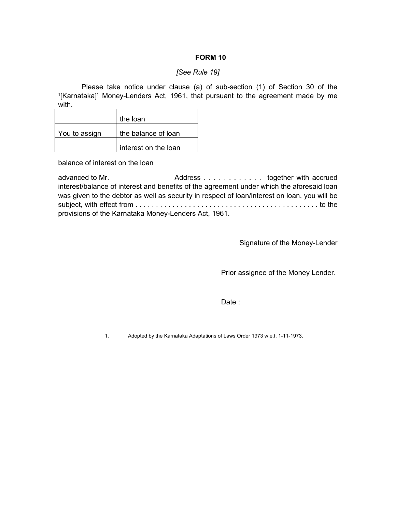#### *[See Rule 19]*

Please take notice under clause (a) of sub-section (1) of Section 30 of the 1 [Karnataka]<sup>1</sup> Money-Lenders Act, 1961, that pursuant to the agreement made by me with.

|               | the loan             |
|---------------|----------------------|
| You to assign | the balance of loan  |
|               | interest on the loan |

balance of interest on the loan

advanced to Mr. **Address . . . . . . . . . . . . together with accrued** interest/balance of interest and benefits of the agreement under which the aforesaid loan was given to the debtor as well as security in respect of loan/interest on loan, you will be subject, with effect from . . . . . . . . . . . . . . . . . . . . . . . . . . . . . . . . . . . . . . . . . . . . . to the provisions of the Karnataka Money-Lenders Act, 1961.

Signature of the Money-Lender

Prior assignee of the Money Lender.

de de la contrata de la contrata de la contrata de la contrata de la contrata de la contrata de la contrata de

1. Adopted by the Karnataka Adaptations of Laws Order 1973 w.e.f. 1-11-1973.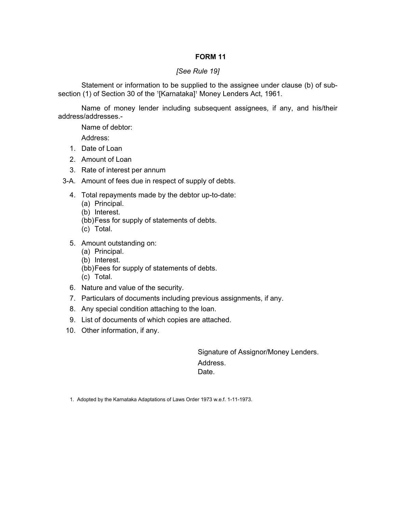#### *[See Rule 19]*

 Statement or information to be supplied to the assignee under clause (b) of subsection (1) of Section 30 of the <sup>1</sup>[Karnataka]<sup>1</sup> Money Lenders Act, 1961.

 Name of money lender including subsequent assignees, if any, and his/their address/addresses.-

Name of debtor:

Address:

- 1. Date of Loan
- 2. Amount of Loan
- 3. Rate of interest per annum
- 3-A. Amount of fees due in respect of supply of debts.
	- 4. Total repayments made by the debtor up-to-date:
		- (a) Principal.
		- (b) Interest.
		- (bb) Fess for supply of statements of debts.
		- (c) Total.
	- 5. Amount outstanding on:
		- (a) Principal.
		- (b) Interest.
		- (bb) Fees for supply of statements of debts. (c) Total.
	- 6. Nature and value of the security.
	- 7. Particulars of documents including previous assignments, if any.
	- 8. Any special condition attaching to the loan.
	- 9. List of documents of which copies are attached.
- 10. Other information, if any.

 Signature of Assignor/Money Lenders. Address. **Date.** The contract of the contract of the Date.

1. Adopted by the Karnataka Adaptations of Laws Order 1973 w.e.f. 1-11-1973.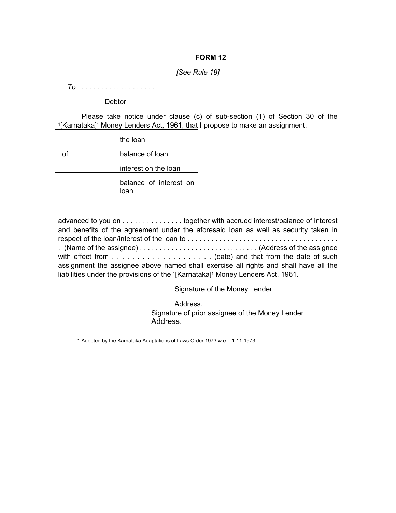#### *[See Rule 19]*

 *To* . . . . . . . . . . . . . . . . . . .

**Debtor** 

 Please take notice under clause (c) of sub-section (1) of Section 30 of the <sup>1</sup>[Karnataka]<sup>1</sup> Money Lenders Act, 1961, that I propose to make an assignment.

| the loan               |
|------------------------|
| balance of loan        |
| interest on the loan   |
| balance of interest on |

advanced to you on . . . . . . . . . . . . . . . together with accrued interest/balance of interest and benefits of the agreement under the aforesaid loan as well as security taken in respect of the loan/interest of the loan to . . . . . . . . . . . . . . . . . . . . . . . . . . . . . . . . . . . . . . . (Name of the assignee) . . . . . . . . . . . . . . . . . . . . . . . . . . . . . . (Address of the assignee with effect from . . . . . . . . . . . . . . . . . . . . (date) and that from the date of such assignment the assignee above named shall exercise all rights and shall have all the liabilities under the provisions of the <sup>1</sup>[Karnataka]<sup>1</sup> Money Lenders Act, 1961.

Signature of the Money Lender

 Address. Signature of prior assignee of the Money Lender Address.

1.Adopted by the Karnataka Adaptations of Laws Order 1973 w.e.f. 1-11-1973.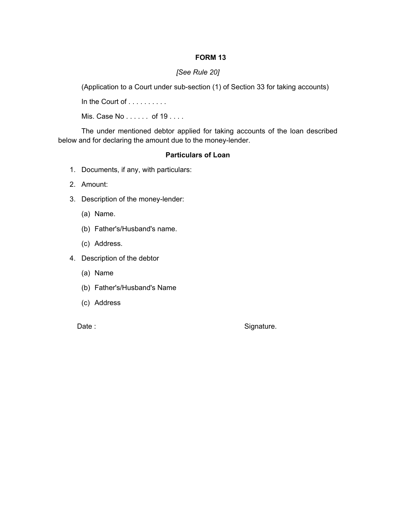## *[See Rule 20]*

(Application to a Court under sub-section (1) of Section 33 for taking accounts)

In the Court of . . . . . . . . . .

Mis. Case No . . . . . . of 19 . . . .

 The under mentioned debtor applied for taking accounts of the loan described below and for declaring the amount due to the money-lender.

### **Particulars of Loan**

- 1. Documents, if any, with particulars:
- 2. Amount:
- 3. Description of the money-lender:
	- (a) Name.
	- (b) Father's/Husband's name.
	- (c) Address.
- 4. Description of the debtor
	- (a) Name
	- (b) Father's/Husband's Name
	- (c) Address
	-

Date : Signature.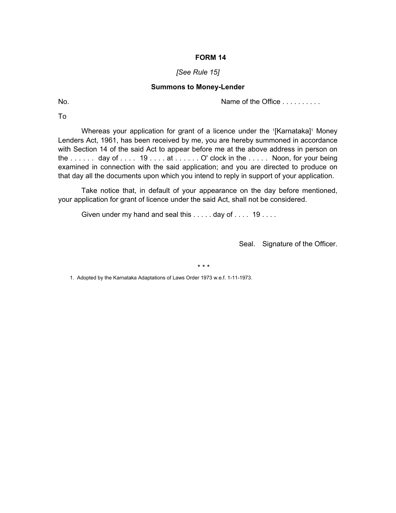#### *[See Rule 15]*

#### **Summons to Money-Lender**

No. Name of the Office . . . . . . . . . .

To

Whereas your application for grant of a licence under the <sup>1</sup>[Karnataka]<sup>1</sup> Money Lenders Act, 1961, has been received by me, you are hereby summoned in accordance with Section 14 of the said Act to appear before me at the above address in person on the ...... day of .... 19 .... at ..... O' clock in the ..... Noon, for your being examined in connection with the said application; and you are directed to produce on that day all the documents upon which you intend to reply in support of your application.

 Take notice that, in default of your appearance on the day before mentioned, your application for grant of licence under the said Act, shall not be considered.

Given under my hand and seal this  $\dots$  . day of  $\dots$  19 . . . .

Seal. Signature of the Officer.

\* \* \*

1. Adopted by the Karnataka Adaptations of Laws Order 1973 w.e.f. 1-11-1973.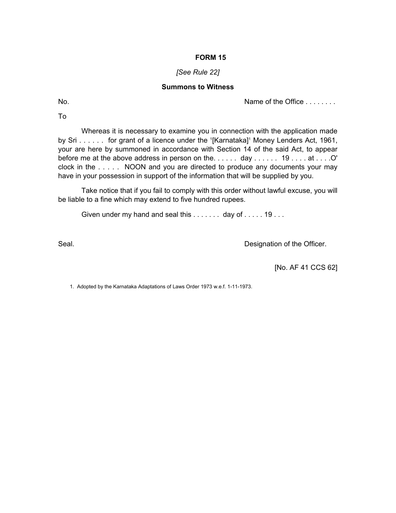#### *[See Rule 22]*

#### **Summons to Witness**

No. Name of the Office . . . . . . . .

To

 Whereas it is necessary to examine you in connection with the application made by Sri...... for grant of a licence under the <sup>1</sup>[Karnataka]<sup>1</sup> Money Lenders Act, 1961, your are here by summoned in accordance with Section 14 of the said Act, to appear before me at the above address in person on the...... day ...... 19 .... at ... .O' clock in the . . . . . NOON and you are directed to produce any documents your may have in your possession in support of the information that will be supplied by you.

 Take notice that if you fail to comply with this order without lawful excuse, you will be liable to a fine which may extend to five hundred rupees.

Given under my hand and seal this  $\dots \dots$  day of  $\dots \dots$  19...

Seal. Seal. **Designation of the Officer.** 

[No. AF 41 CCS 62]

1. Adopted by the Karnataka Adaptations of Laws Order 1973 w.e.f. 1-11-1973.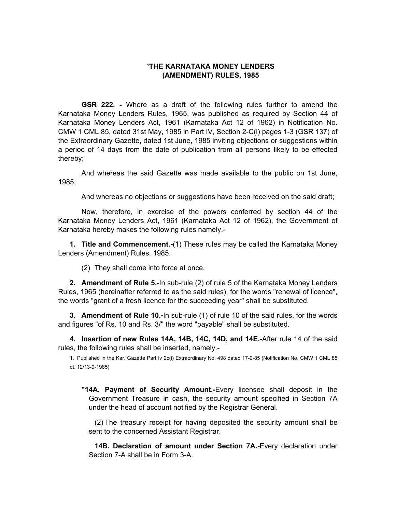### **1 THE KARNATAKA MONEY LENDERS (AMENDMENT) RULES, 1985**

 **GSR 222. -** Where as a draft of the following rules further to amend the Karnataka Money Lenders Rules, 1965, was published as required by Section 44 of Karnataka Money Lenders Act, 1961 (Karnataka Act 12 of 1962) in Notification No. CMW 1 CML 85, dated 31st May, 1985 in Part IV, Section 2-C(i) pages 1-3 (GSR 137) of the Extraordinary Gazette, dated 1st June, 1985 inviting objections or suggestions within a period of 14 days from the date of publication from all persons likely to be effected thereby;

 And whereas the said Gazette was made available to the public on 1st June, 1985;

And whereas no objections or suggestions have been received on the said draft;

 Now, therefore, in exercise of the powers conferred by section 44 of the Karnataka Money Lenders Act, 1961 (Karnataka Act 12 of 1962), the Government of Karnataka hereby makes the following rules namely.-

**1. Title and Commencement.-**(1) These rules may be called the Karnataka Money Lenders (Amendment) Rules. 1985.

(2) They shall come into force at once.

**2. Amendment of Rule 5.-**In sub-rule (2) of rule 5 of the Karnataka Money Lenders Rules, 1965 (hereinafter referred to as the said rules), for the words "renewal of licence", the words "grant of a fresh licence for the succeeding year" shall be substituted.

**3. Amendment of Rule 10.-**In sub-rule (1) of rule 10 of the said rules, for the words and figures "of Rs. 10 and Rs. 3/'' the word "payable" shall be substituted.

**4. Insertion of new Rules 14A, 14B, 14C, 14D, and 14E.-**After rule 14 of the said rules, the following rules shall be inserted, namely.-

1. Published in the Kar. Gazette Part Iv 2c(i) Extraordinary No. 498 dated 17-9-85 (Notification No. CMW 1 CML 85 dt. 12/13-9-1985)

 **"14A. Payment of Security Amount.-**Every licensee shall deposit in the Government Treasure in cash, the security amount specified in Section 7A under the head of account notified by the Registrar General.

 (2) The treasury receipt for having deposited the security amount shall be sent to the concerned Assistant Registrar.

 **14B. Declaration of amount under Section 7A.-**Every declaration under Section 7-A shall be in Form 3-A.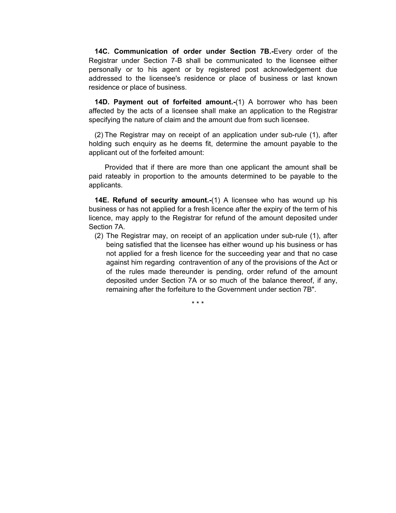**14C. Communication of order under Section 7B.-**Every order of the Registrar under Section 7-B shall be communicated to the licensee either personally or to his agent or by registered post acknowledgement due addressed to the licensee's residence or place of business or last known residence or place of business.

 **14D. Payment out of forfeited amount.-**(1) A borrower who has been affected by the acts of a licensee shall make an application to the Registrar specifying the nature of claim and the amount due from such licensee.

 (2) The Registrar may on receipt of an application under sub-rule (1), after holding such enquiry as he deems fit, determine the amount payable to the applicant out of the forfeited amount:

 Provided that if there are more than one applicant the amount shall be paid rateably in proportion to the amounts determined to be payable to the applicants.

 **14E. Refund of security amount.-**(1) A licensee who has wound up his business or has not applied for a fresh licence after the expiry of the term of his licence, may apply to the Registrar for refund of the amount deposited under Section 7A.

(2) The Registrar may, on receipt of an application under sub-rule (1), after being satisfied that the licensee has either wound up his business or has not applied for a fresh licence for the succeeding year and that no case against him regarding contravention of any of the provisions of the Act or of the rules made thereunder is pending, order refund of the amount deposited under Section 7A or so much of the balance thereof, if any, remaining after the forfeiture to the Government under section 7B".

\* \* \*